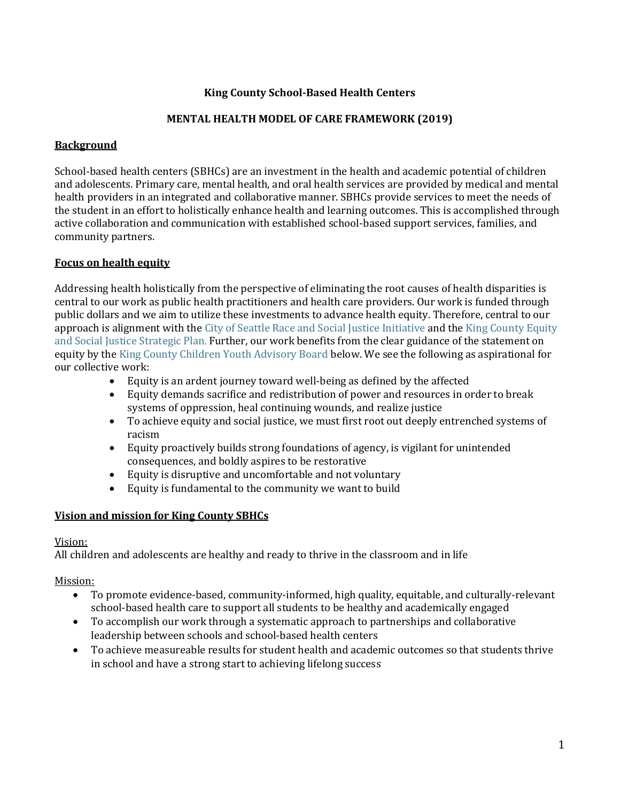# **King County School-Based Health Centers**

# **MENTAL HEALTH MODEL OF CARE FRAMEWORK (2019)**

# **Background**

School-based health centers (SBHCs) are an investment in the health and academic potential of children and adolescents. Primary care, mental health, and oral health services are provided by medical and mental health providers in an integrated and collaborative manner. SBHCs provide services to meet the needs of the student in an effort to holistically enhance health and learning outcomes. This is accomplished through active collaboration and communication with established school-based support services, families, and community partners.

# **Focus on health equity**

Addressing health holistically from the perspective of eliminating the root causes of health disparities is central to our work as public health practitioners and health care providers. Our work is funded through public dollars and we aim to utilize these investments to advance health equity. Therefore, central to our approach is alignment with the [City of Seattle Race and Social Justice Initiative](http://www.seattle.gov/rsji/) and the [King County Equity](http://www.kingcounty.gov/elected/executive/equity-social-justice/strategic-plan.aspx)  [and Social Justice Strategic Plan](http://www.kingcounty.gov/elected/executive/equity-social-justice/strategic-plan.aspx). Further, our work benefits from the clear guidance of the statement on equity by the [King County Children Youth Advisory Board](https://www.kingcounty.gov/depts/community-human-services/initiatives/best-starts-for-kids/advisory-board.aspx) below. We see the following as aspirational for our collective work:

- Equity is an ardent journey toward well-being as defined by the affected
- Equity demands sacrifice and redistribution of power and resources in order to break systems of oppression, heal continuing wounds, and realize justice
- To achieve equity and social justice, we must first root out deeply entrenched systems of racism
- Equity proactively builds strong foundations of agency, is vigilant for unintended consequences, and boldly aspires to be restorative
- Equity is disruptive and uncomfortable and not voluntary
- Equity is fundamental to the community we want to build

# **Vision and mission for King County SBHCs**

# Vision:

All children and adolescents are healthy and ready to thrive in the classroom and in life

# Mission:

- To promote evidence-based, community-informed, high quality, equitable, and culturally-relevant school-based health care to support all students to be healthy and academically engaged
- To accomplish our work through a systematic approach to partnerships and collaborative leadership between schools and school-based health centers
- To achieve measureable results for student health and academic outcomes so that students thrive in school and have a strong start to achieving lifelong success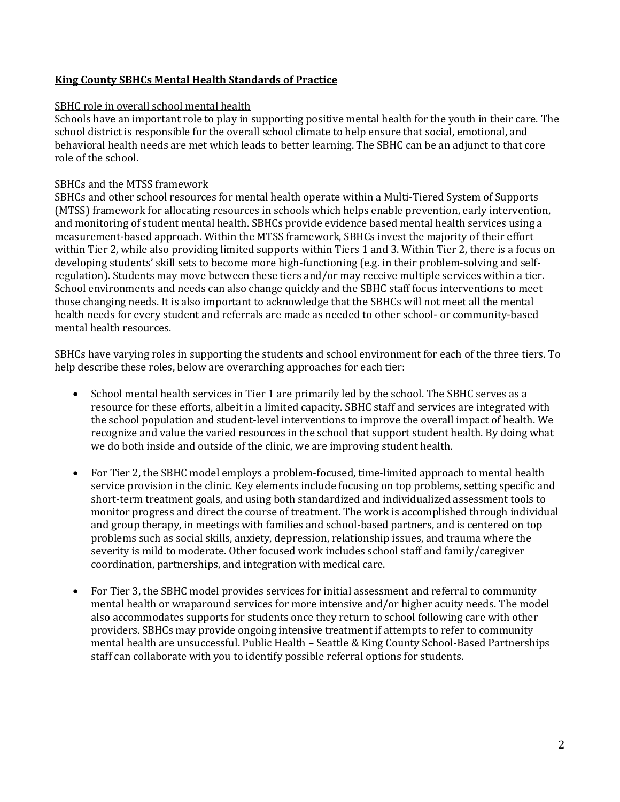# **King County SBHCs Mental Health Standards of Practice**

### SBHC role in overall school mental health

Schools have an important role to play in supporting positive mental health for the youth in their care. The school district is responsible for the overall school climate to help ensure that social, emotional, and behavioral health needs are met which leads to better learning. The SBHC can be an adjunct to that core role of the school.

### SBHCs and the MTSS framework

SBHCs and other school resources for mental health operate within a Multi-Tiered System of Supports (MTSS) framework for allocating resources in schools which helps enable prevention, early intervention, and monitoring of student mental health. SBHCs provide evidence based mental health services using a measurement-based approach. Within the MTSS framework, SBHCs invest the majority of their effort within Tier 2, while also providing limited supports within Tiers 1 and 3. Within Tier 2, there is a focus on developing students' skill sets to become more high-functioning (e.g. in their problem-solving and selfregulation). Students may move between these tiers and/or may receive multiple services within a tier. School environments and needs can also change quickly and the SBHC staff focus interventions to meet those changing needs. It is also important to acknowledge that the SBHCs will not meet all the mental health needs for every student and referrals are made as needed to other school- or community-based mental health resources.

SBHCs have varying roles in supporting the students and school environment for each of the three tiers. To help describe these roles, below are overarching approaches for each tier:

- School mental health services in Tier 1 are primarily led by the school. The SBHC serves as a resource for these efforts, albeit in a limited capacity. SBHC staff and services are integrated with the school population and student-level interventions to improve the overall impact of health. We recognize and value the varied resources in the school that support student health. By doing what we do both inside and outside of the clinic, we are improving student health.
- For Tier 2, the SBHC model employs a problem-focused, time-limited approach to mental health service provision in the clinic. Key elements include focusing on top problems, setting specific and short-term treatment goals, and using both standardized and individualized assessment tools to monitor progress and direct the course of treatment. The work is accomplished through individual and group therapy, in meetings with families and school-based partners, and is centered on top problems such as social skills, anxiety, depression, relationship issues, and trauma where the severity is mild to moderate. Other focused work includes school staff and family/caregiver coordination, partnerships, and integration with medical care.
- For Tier 3, the SBHC model provides services for initial assessment and referral to community mental health or wraparound services for more intensive and/or higher acuity needs. The model also accommodates supports for students once they return to school following care with other providers. SBHCs may provide ongoing intensive treatment if attempts to refer to community mental health are unsuccessful. Public Health – Seattle & King County School-Based Partnerships staff can collaborate with you to identify possible referral options for students.